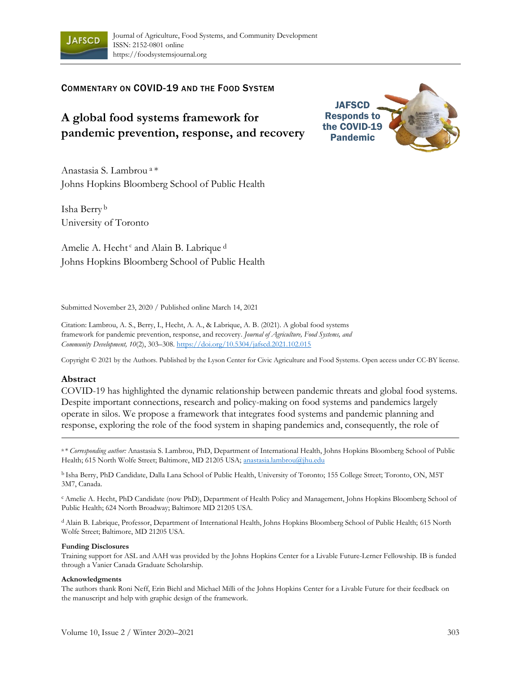

## COMMENTARY ON COVID-19 AND THE FOOD SYSTEM

# **A global food systems framework for pandemic prevention, response, and recovery**

Anastasia S. Lambrou <sup>a</sup>\* Johns Hopkins Bloomberg School of Public Health

Isha Berry <sup>b</sup> University of Toronto

Amelie A. Hecht<sup>c</sup> and Alain B. Labrique<sup>d</sup> Johns Hopkins Bloomberg School of Public Health

Submitted November 23, 2020 / Published online March 14, 2021

Citation: Lambrou, A. S., Berry, I., Hecht, A. A., & Labrique, A. B. (2021). A global food systems framework for pandemic prevention, response, and recovery. *Journal of Agriculture, Food Systems, and Community Development, 10*(2), 303–308. https://doi.org/10.5304/jafscd.2021.102.015

Copyright © 2021 by the Authors. Published by the Lyson Center for Civic Agriculture and Food Systems. Open access under CC-BY license.

#### **Abstract**

COVID-19 has highlighted the dynamic relationship between pandemic threats and global food systems. Despite important connections, research and policy-making on food systems and pandemics largely operate in silos. We propose a framework that integrates food systems and pandemic planning and response, exploring the role of the food system in shaping pandemics and, consequently, the role of

a \* *Corresponding author: Anastasia S. Lambrou, PhD, Department of International Health, Johns Hopkins Bloomberg School of Public* Health; 615 North Wolfe Street; Baltimore, MD 21205 USA; anastasia.lambrou@jhu.edu

b Isha Berry, PhD Candidate, Dalla Lana School of Public Health, University of Toronto; 155 College Street; Toronto, ON, M5T 3M7, Canada.

<sup>c</sup> Amelie A. Hecht, PhD Candidate (now PhD), Department of Health Policy and Management, Johns Hopkins Bloomberg School of Public Health; 624 North Broadway; Baltimore MD 21205 USA.

<sup>d</sup> Alain B. Labrique, Professor, Department of International Health, Johns Hopkins Bloomberg School of Public Health; 615 North Wolfe Street; Baltimore, MD 21205 USA.

#### **Funding Disclosures**

Training support for ASL and AAH was provided by the Johns Hopkins Center for a Livable Future-Lerner Fellowship. IB is funded through a Vanier Canada Graduate Scholarship.

#### **Acknowledgments**

The authors thank Roni Neff, Erin Biehl and Michael Milli of the Johns Hopkins Center for a Livable Future for their feedback on the manuscript and help with graphic design of the framework.

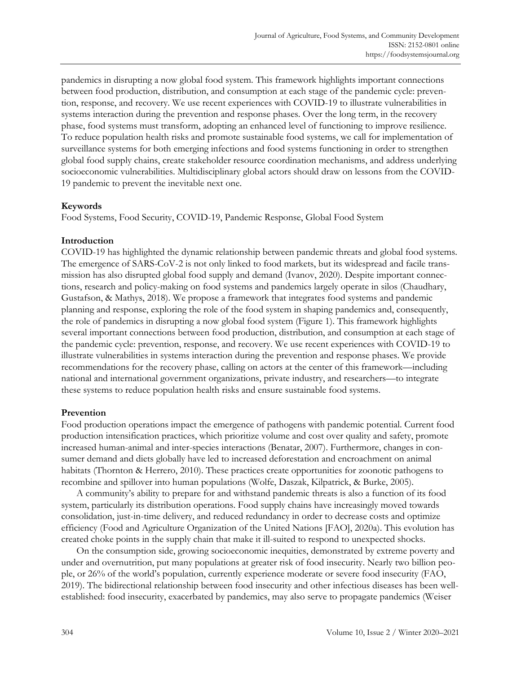pandemics in disrupting a now global food system. This framework highlights important connections between food production, distribution, and consumption at each stage of the pandemic cycle: prevention, response, and recovery. We use recent experiences with COVID-19 to illustrate vulnerabilities in systems interaction during the prevention and response phases. Over the long term, in the recovery phase, food systems must transform, adopting an enhanced level of functioning to improve resilience. To reduce population health risks and promote sustainable food systems, we call for implementation of surveillance systems for both emerging infections and food systems functioning in order to strengthen global food supply chains, create stakeholder resource coordination mechanisms, and address underlying socioeconomic vulnerabilities. Multidisciplinary global actors should draw on lessons from the COVID-19 pandemic to prevent the inevitable next one.

## **Keywords**

Food Systems, Food Security, COVID-19, Pandemic Response, Global Food System

## **Introduction**

COVID-19 has highlighted the dynamic relationship between pandemic threats and global food systems. The emergence of SARS-CoV-2 is not only linked to food markets, but its widespread and facile transmission has also disrupted global food supply and demand (Ivanov, 2020). Despite important connections, research and policy-making on food systems and pandemics largely operate in silos (Chaudhary, Gustafson, & Mathys, 2018). We propose a framework that integrates food systems and pandemic planning and response, exploring the role of the food system in shaping pandemics and, consequently, the role of pandemics in disrupting a now global food system (Figure 1). This framework highlights several important connections between food production, distribution, and consumption at each stage of the pandemic cycle: prevention, response, and recovery. We use recent experiences with COVID-19 to illustrate vulnerabilities in systems interaction during the prevention and response phases. We provide recommendations for the recovery phase, calling on actors at the center of this framework—including national and international government organizations, private industry, and researchers—to integrate these systems to reduce population health risks and ensure sustainable food systems.

#### **Prevention**

Food production operations impact the emergence of pathogens with pandemic potential. Current food production intensification practices, which prioritize volume and cost over quality and safety, promote increased human-animal and inter-species interactions (Benatar, 2007). Furthermore, changes in consumer demand and diets globally have led to increased deforestation and encroachment on animal habitats (Thornton & Herrero, 2010). These practices create opportunities for zoonotic pathogens to recombine and spillover into human populations (Wolfe, Daszak, Kilpatrick, & Burke, 2005).

A community's ability to prepare for and withstand pandemic threats is also a function of its food system, particularly its distribution operations. Food supply chains have increasingly moved towards consolidation, just-in-time delivery, and reduced redundancy in order to decrease costs and optimize efficiency (Food and Agriculture Organization of the United Nations [FAO], 2020a). This evolution has created choke points in the supply chain that make it ill-suited to respond to unexpected shocks.

On the consumption side, growing socioeconomic inequities, demonstrated by extreme poverty and under and overnutrition, put many populations at greater risk of food insecurity. Nearly two billion people, or 26% of the world's population, currently experience moderate or severe food insecurity (FAO, 2019). The bidirectional relationship between food insecurity and other infectious diseases has been wellestablished: food insecurity, exacerbated by pandemics, may also serve to propagate pandemics (Weiser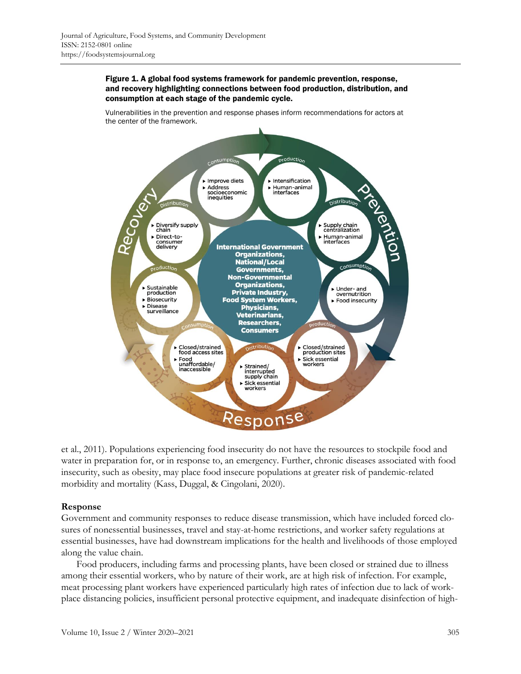#### Figure 1. A global food systems framework for pandemic prevention, response, and recovery highlighting connections between food production, distribution, and consumption at each stage of the pandemic cycle.

Vulnerabilities in the prevention and response phases inform recommendations for actors at the center of the framework.



et al., 2011). Populations experiencing food insecurity do not have the resources to stockpile food and water in preparation for, or in response to, an emergency. Further, chronic diseases associated with food insecurity, such as obesity, may place food insecure populations at greater risk of pandemic-related morbidity and mortality (Kass, Duggal, & Cingolani, 2020).

#### **Response**

Government and community responses to reduce disease transmission, which have included forced closures of nonessential businesses, travel and stay-at-home restrictions, and worker safety regulations at essential businesses, have had downstream implications for the health and livelihoods of those employed along the value chain.

Food producers, including farms and processing plants, have been closed or strained due to illness among their essential workers, who by nature of their work, are at high risk of infection. For example, meat processing plant workers have experienced particularly high rates of infection due to lack of workplace distancing policies, insufficient personal protective equipment, and inadequate disinfection of high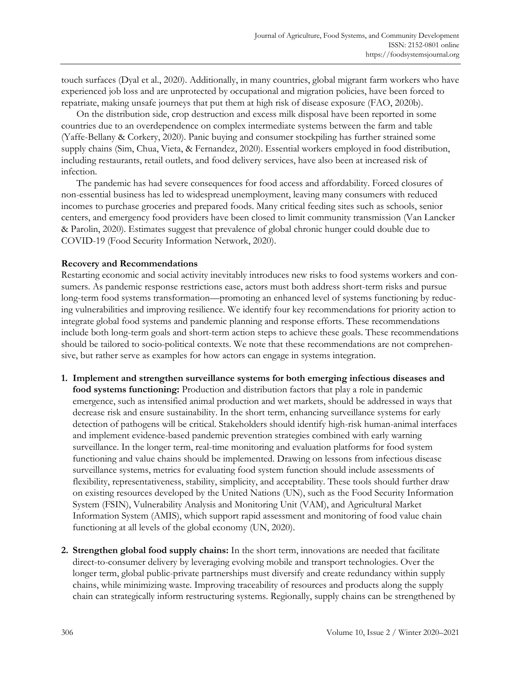touch surfaces (Dyal et al., 2020). Additionally, in many countries, global migrant farm workers who have experienced job loss and are unprotected by occupational and migration policies, have been forced to repatriate, making unsafe journeys that put them at high risk of disease exposure (FAO, 2020b).

On the distribution side, crop destruction and excess milk disposal have been reported in some countries due to an overdependence on complex intermediate systems between the farm and table (Yaffe-Bellany & Corkery, 2020). Panic buying and consumer stockpiling has further strained some supply chains (Sim, Chua, Vieta, & Fernandez, 2020). Essential workers employed in food distribution, including restaurants, retail outlets, and food delivery services, have also been at increased risk of infection.

The pandemic has had severe consequences for food access and affordability. Forced closures of non-essential business has led to widespread unemployment, leaving many consumers with reduced incomes to purchase groceries and prepared foods. Many critical feeding sites such as schools, senior centers, and emergency food providers have been closed to limit community transmission (Van Lancker & Parolin, 2020). Estimates suggest that prevalence of global chronic hunger could double due to COVID-19 (Food Security Information Network, 2020).

#### **Recovery and Recommendations**

Restarting economic and social activity inevitably introduces new risks to food systems workers and consumers. As pandemic response restrictions ease, actors must both address short-term risks and pursue long-term food systems transformation—promoting an enhanced level of systems functioning by reducing vulnerabilities and improving resilience. We identify four key recommendations for priority action to integrate global food systems and pandemic planning and response efforts. These recommendations include both long-term goals and short-term action steps to achieve these goals. These recommendations should be tailored to socio-political contexts. We note that these recommendations are not comprehensive, but rather serve as examples for how actors can engage in systems integration.

- **1. Implement and strengthen surveillance systems for both emerging infectious diseases and food systems functioning:** Production and distribution factors that play a role in pandemic emergence, such as intensified animal production and wet markets, should be addressed in ways that decrease risk and ensure sustainability. In the short term, enhancing surveillance systems for early detection of pathogens will be critical. Stakeholders should identify high-risk human-animal interfaces and implement evidence-based pandemic prevention strategies combined with early warning surveillance. In the longer term, real-time monitoring and evaluation platforms for food system functioning and value chains should be implemented. Drawing on lessons from infectious disease surveillance systems, metrics for evaluating food system function should include assessments of flexibility, representativeness, stability, simplicity, and acceptability. These tools should further draw on existing resources developed by the United Nations (UN), such as the Food Security Information System (FSIN), Vulnerability Analysis and Monitoring Unit (VAM), and Agricultural Market Information System (AMIS), which support rapid assessment and monitoring of food value chain functioning at all levels of the global economy (UN, 2020).
- **2. Strengthen global food supply chains:** In the short term, innovations are needed that facilitate direct-to-consumer delivery by leveraging evolving mobile and transport technologies. Over the longer term, global public-private partnerships must diversify and create redundancy within supply chains, while minimizing waste. Improving traceability of resources and products along the supply chain can strategically inform restructuring systems. Regionally, supply chains can be strengthened by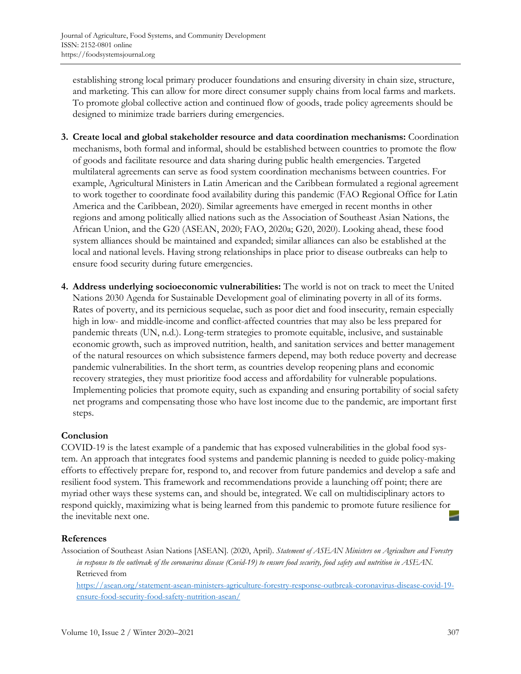establishing strong local primary producer foundations and ensuring diversity in chain size, structure, and marketing. This can allow for more direct consumer supply chains from local farms and markets. To promote global collective action and continued flow of goods, trade policy agreements should be designed to minimize trade barriers during emergencies.

- **3. Create local and global stakeholder resource and data coordination mechanisms:** Coordination mechanisms, both formal and informal, should be established between countries to promote the flow of goods and facilitate resource and data sharing during public health emergencies. Targeted multilateral agreements can serve as food system coordination mechanisms between countries. For example, Agricultural Ministers in Latin American and the Caribbean formulated a regional agreement to work together to coordinate food availability during this pandemic (FAO Regional Office for Latin America and the Caribbean, 2020). Similar agreements have emerged in recent months in other regions and among politically allied nations such as the Association of Southeast Asian Nations, the African Union, and the G20 (ASEAN, 2020; FAO, 2020a; G20, 2020). Looking ahead, these food system alliances should be maintained and expanded; similar alliances can also be established at the local and national levels. Having strong relationships in place prior to disease outbreaks can help to ensure food security during future emergencies.
- **4. Address underlying socioeconomic vulnerabilities:** The world is not on track to meet the United Nations 2030 Agenda for Sustainable Development goal of eliminating poverty in all of its forms. Rates of poverty, and its pernicious sequelae, such as poor diet and food insecurity, remain especially high in low- and middle-income and conflict-affected countries that may also be less prepared for pandemic threats (UN, n.d.). Long-term strategies to promote equitable, inclusive, and sustainable economic growth, such as improved nutrition, health, and sanitation services and better management of the natural resources on which subsistence farmers depend, may both reduce poverty and decrease pandemic vulnerabilities. In the short term, as countries develop reopening plans and economic recovery strategies, they must prioritize food access and affordability for vulnerable populations. Implementing policies that promote equity, such as expanding and ensuring portability of social safety net programs and compensating those who have lost income due to the pandemic, are important first steps.

# **Conclusion**

COVID-19 is the latest example of a pandemic that has exposed vulnerabilities in the global food system. An approach that integrates food systems and pandemic planning is needed to guide policy-making efforts to effectively prepare for, respond to, and recover from future pandemics and develop a safe and resilient food system. This framework and recommendations provide a launching off point; there are myriad other ways these systems can, and should be, integrated. We call on multidisciplinary actors to respond quickly, maximizing what is being learned from this pandemic to promote future resilience for the inevitable next one.

# **References**

Association of Southeast Asian Nations [ASEAN]. (2020, April). *Statement of ASEAN Ministers on Agriculture and Forestry in response to the outbreak of the coronavirus disease (Covid-19) to ensure food security, food safety and nutrition in ASEAN.* Retrieved from

[https://asean.org/statement-asean-ministers-agriculture-forestry-response-outbreak-coronavirus-disease-covid-19](https://asean.org/statement-asean-ministers-agriculture-forestry-response-outbreak-coronavirus-disease-covid-19-ensure-food-security-food-safety-nutrition-asean/) ensure-food-security-food-safety-nutrition-asean/